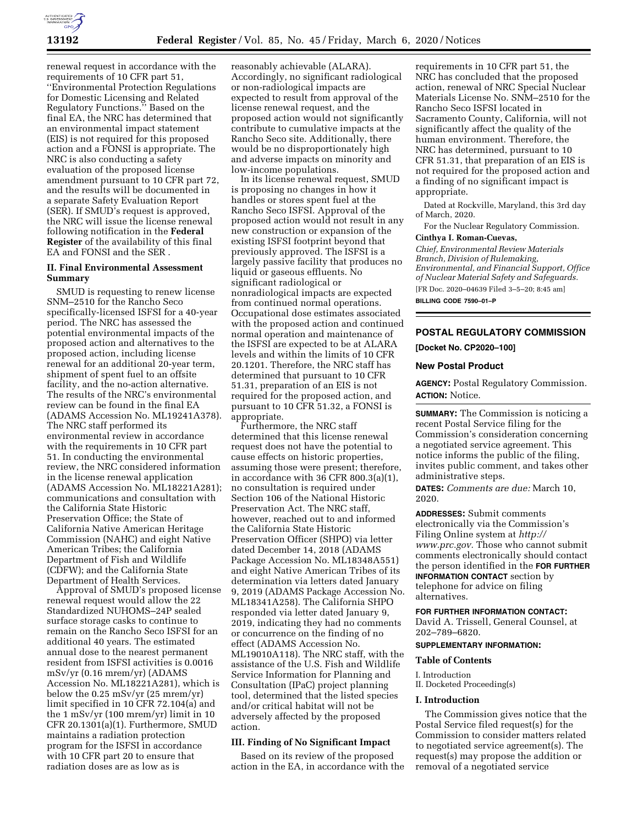

renewal request in accordance with the requirements of 10 CFR part 51, ''Environmental Protection Regulations for Domestic Licensing and Related Regulatory Functions.'' Based on the final EA, the NRC has determined that an environmental impact statement (EIS) is not required for this proposed action and a FONSI is appropriate. The NRC is also conducting a safety evaluation of the proposed license amendment pursuant to 10 CFR part 72, and the results will be documented in a separate Safety Evaluation Report (SER). If SMUD's request is approved, the NRC will issue the license renewal following notification in the **Federal Register** of the availability of this final EA and FONSI and the SER .

# **II. Final Environmental Assessment Summary**

SMUD is requesting to renew license SNM–2510 for the Rancho Seco specifically-licensed ISFSI for a 40-year period. The NRC has assessed the potential environmental impacts of the proposed action and alternatives to the proposed action, including license renewal for an additional 20-year term, shipment of spent fuel to an offsite facility, and the no-action alternative. The results of the NRC's environmental review can be found in the final EA (ADAMS Accession No. ML19241A378). The NRC staff performed its environmental review in accordance with the requirements in 10 CFR part 51. In conducting the environmental review, the NRC considered information in the license renewal application (ADAMS Accession No. ML18221A281); communications and consultation with the California State Historic Preservation Office; the State of California Native American Heritage Commission (NAHC) and eight Native American Tribes; the California Department of Fish and Wildlife (CDFW); and the California State Department of Health Services.

Approval of SMUD's proposed license renewal request would allow the 22 Standardized NUHOMS–24P sealed surface storage casks to continue to remain on the Rancho Seco ISFSI for an additional 40 years. The estimated annual dose to the nearest permanent resident from ISFSI activities is 0.0016 mSv/yr (0.16 mrem/yr) (ADAMS Accession No. ML18221A281), which is below the 0.25 mSv/yr (25 mrem/yr) limit specified in 10 CFR 72.104(a) and the 1 mSv/yr (100 mrem/yr) limit in 10 CFR 20.1301(a)(1). Furthermore, SMUD maintains a radiation protection program for the ISFSI in accordance with 10 CFR part 20 to ensure that radiation doses are as low as is

reasonably achievable (ALARA). Accordingly, no significant radiological or non-radiological impacts are expected to result from approval of the license renewal request, and the proposed action would not significantly contribute to cumulative impacts at the Rancho Seco site. Additionally, there would be no disproportionately high and adverse impacts on minority and low-income populations.

In its license renewal request, SMUD is proposing no changes in how it handles or stores spent fuel at the Rancho Seco ISFSI. Approval of the proposed action would not result in any new construction or expansion of the existing ISFSI footprint beyond that previously approved. The ISFSI is a largely passive facility that produces no liquid or gaseous effluents. No significant radiological or nonradiological impacts are expected from continued normal operations. Occupational dose estimates associated with the proposed action and continued normal operation and maintenance of the ISFSI are expected to be at ALARA levels and within the limits of 10 CFR 20.1201. Therefore, the NRC staff has determined that pursuant to 10 CFR 51.31, preparation of an EIS is not required for the proposed action, and pursuant to 10 CFR 51.32, a FONSI is appropriate.

Furthermore, the NRC staff determined that this license renewal request does not have the potential to cause effects on historic properties, assuming those were present; therefore, in accordance with 36 CFR 800.3(a)(1), no consultation is required under Section 106 of the National Historic Preservation Act. The NRC staff, however, reached out to and informed the California State Historic Preservation Officer (SHPO) via letter dated December 14, 2018 (ADAMS Package Accession No. ML18348A551) and eight Native American Tribes of its determination via letters dated January 9, 2019 (ADAMS Package Accession No. ML18341A258). The California SHPO responded via letter dated January 9, 2019, indicating they had no comments or concurrence on the finding of no effect (ADAMS Accession No. ML19010A118). The NRC staff, with the assistance of the U.S. Fish and Wildlife Service Information for Planning and Consultation (IPaC) project planning tool, determined that the listed species and/or critical habitat will not be adversely affected by the proposed action.

## **III. Finding of No Significant Impact**

Based on its review of the proposed action in the EA, in accordance with the requirements in 10 CFR part 51, the NRC has concluded that the proposed action, renewal of NRC Special Nuclear Materials License No. SNM–2510 for the Rancho Seco ISFSI located in Sacramento County, California, will not significantly affect the quality of the human environment. Therefore, the NRC has determined, pursuant to 10 CFR 51.31, that preparation of an EIS is not required for the proposed action and a finding of no significant impact is appropriate.

Dated at Rockville, Maryland, this 3rd day of March, 2020.

For the Nuclear Regulatory Commission.

#### **Cinthya I. Roman-Cuevas,**

*Chief, Environmental Review Materials Branch, Division of Rulemaking, Environmental, and Financial Support, Office of Nuclear Material Safety and Safeguards.*  [FR Doc. 2020–04639 Filed 3–5–20; 8:45 am]

**BILLING CODE 7590–01–P** 

# **POSTAL REGULATORY COMMISSION**

**[Docket No. CP2020–100]** 

#### **New Postal Product**

**AGENCY:** Postal Regulatory Commission. **ACTION:** Notice.

**SUMMARY:** The Commission is noticing a recent Postal Service filing for the Commission's consideration concerning a negotiated service agreement. This notice informs the public of the filing, invites public comment, and takes other administrative steps.

**DATES:** *Comments are due:* March 10, 2020.

**ADDRESSES:** Submit comments electronically via the Commission's Filing Online system at *[http://](http://www.prc.gov) [www.prc.gov.](http://www.prc.gov)* Those who cannot submit comments electronically should contact the person identified in the **FOR FURTHER INFORMATION CONTACT** section by telephone for advice on filing alternatives.

## **FOR FURTHER INFORMATION CONTACT:**

David A. Trissell, General Counsel, at 202–789–6820.

#### **SUPPLEMENTARY INFORMATION:**

#### **Table of Contents**

#### I. Introduction

II. Docketed Proceeding(s)

#### **I. Introduction**

The Commission gives notice that the Postal Service filed request(s) for the Commission to consider matters related to negotiated service agreement(s). The request(s) may propose the addition or removal of a negotiated service